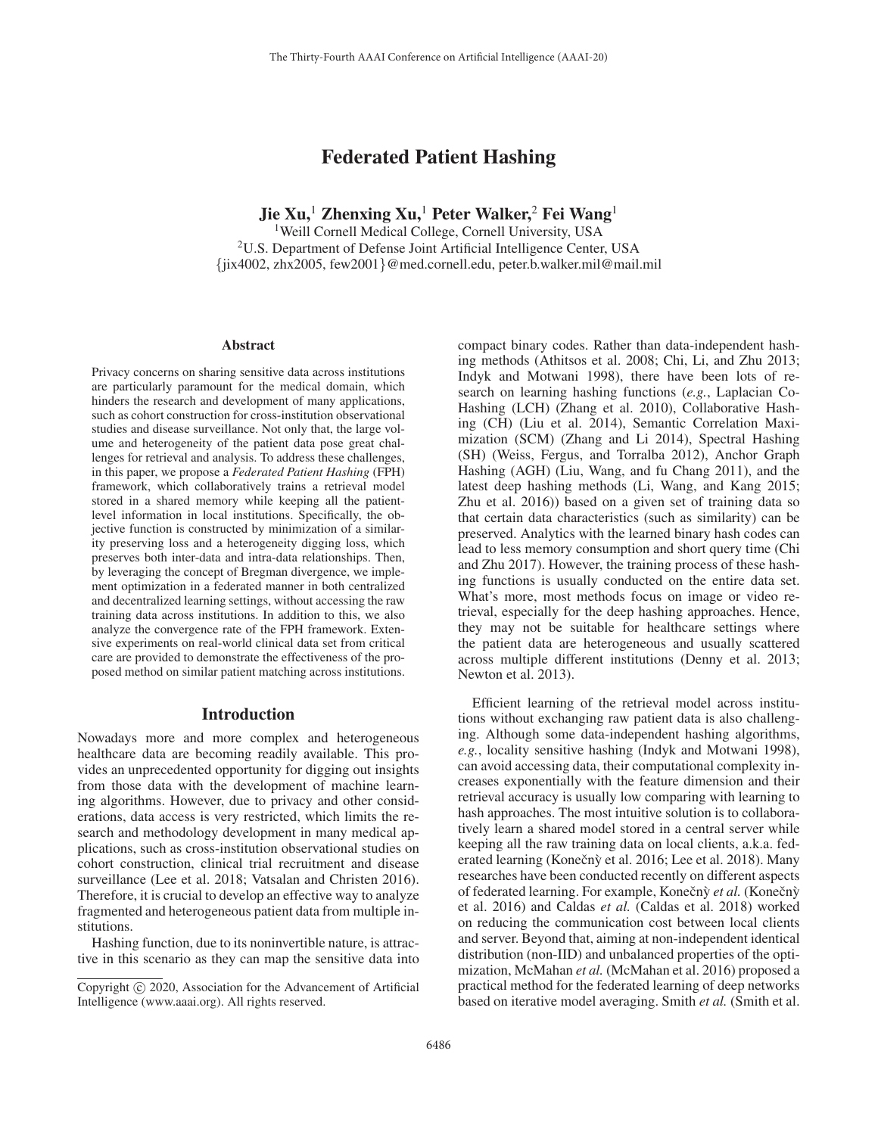# Federated Patient Hashing

Jie Xu,<sup>1</sup> Zhenxing Xu,<sup>1</sup> Peter Walker,<sup>2</sup> Fei Wang<sup>1</sup>

<sup>1</sup>Weill Cornell Medical College, Cornell University, USA 2U.S. Department of Defense Joint Artificial Intelligence Center, USA {jix4002, zhx2005, few2001}@med.cornell.edu, peter.b.walker.mil@mail.mil

#### Abstract

Privacy concerns on sharing sensitive data across institutions are particularly paramount for the medical domain, which hinders the research and development of many applications, such as cohort construction for cross-institution observational studies and disease surveillance. Not only that, the large volume and heterogeneity of the patient data pose great challenges for retrieval and analysis. To address these challenges, in this paper, we propose a *Federated Patient Hashing* (FPH) framework, which collaboratively trains a retrieval model stored in a shared memory while keeping all the patientlevel information in local institutions. Specifically, the objective function is constructed by minimization of a similarity preserving loss and a heterogeneity digging loss, which preserves both inter-data and intra-data relationships. Then, by leveraging the concept of Bregman divergence, we implement optimization in a federated manner in both centralized and decentralized learning settings, without accessing the raw training data across institutions. In addition to this, we also analyze the convergence rate of the FPH framework. Extensive experiments on real-world clinical data set from critical care are provided to demonstrate the effectiveness of the proposed method on similar patient matching across institutions.

### Introduction

Nowadays more and more complex and heterogeneous healthcare data are becoming readily available. This provides an unprecedented opportunity for digging out insights from those data with the development of machine learning algorithms. However, due to privacy and other considerations, data access is very restricted, which limits the research and methodology development in many medical applications, such as cross-institution observational studies on cohort construction, clinical trial recruitment and disease surveillance (Lee et al. 2018; Vatsalan and Christen 2016). Therefore, it is crucial to develop an effective way to analyze fragmented and heterogeneous patient data from multiple institutions.

Hashing function, due to its noninvertible nature, is attractive in this scenario as they can map the sensitive data into compact binary codes. Rather than data-independent hashing methods (Athitsos et al. 2008; Chi, Li, and Zhu 2013; Indyk and Motwani 1998), there have been lots of research on learning hashing functions (*e.g.*, Laplacian Co-Hashing (LCH) (Zhang et al. 2010), Collaborative Hashing (CH) (Liu et al. 2014), Semantic Correlation Maximization (SCM) (Zhang and Li 2014), Spectral Hashing (SH) (Weiss, Fergus, and Torralba 2012), Anchor Graph Hashing (AGH) (Liu, Wang, and fu Chang 2011), and the latest deep hashing methods (Li, Wang, and Kang 2015; Zhu et al. 2016)) based on a given set of training data so that certain data characteristics (such as similarity) can be preserved. Analytics with the learned binary hash codes can lead to less memory consumption and short query time (Chi and Zhu 2017). However, the training process of these hashing functions is usually conducted on the entire data set. What's more, most methods focus on image or video retrieval, especially for the deep hashing approaches. Hence, they may not be suitable for healthcare settings where the patient data are heterogeneous and usually scattered across multiple different institutions (Denny et al. 2013; Newton et al. 2013).

Efficient learning of the retrieval model across institutions without exchanging raw patient data is also challenging. Although some data-independent hashing algorithms, *e.g.*, locality sensitive hashing (Indyk and Motwani 1998), can avoid accessing data, their computational complexity increases exponentially with the feature dimension and their retrieval accuracy is usually low comparing with learning to hash approaches. The most intuitive solution is to collaboratively learn a shared model stored in a central server while keeping all the raw training data on local clients, a.k.a. federated learning (Konečnỳ et al. 2016; Lee et al. 2018). Many researches have been conducted recently on different aspects of federated learning. For example, Konečný *et al.* (Konečný et al. 2016) and Caldas *et al.* (Caldas et al. 2018) worked on reducing the communication cost between local clients and server. Beyond that, aiming at non-independent identical distribution (non-IID) and unbalanced properties of the optimization, McMahan *et al.* (McMahan et al. 2016) proposed a practical method for the federated learning of deep networks based on iterative model averaging. Smith *et al.* (Smith et al.

Copyright  $\odot$  2020, Association for the Advancement of Artificial Intelligence (www.aaai.org). All rights reserved.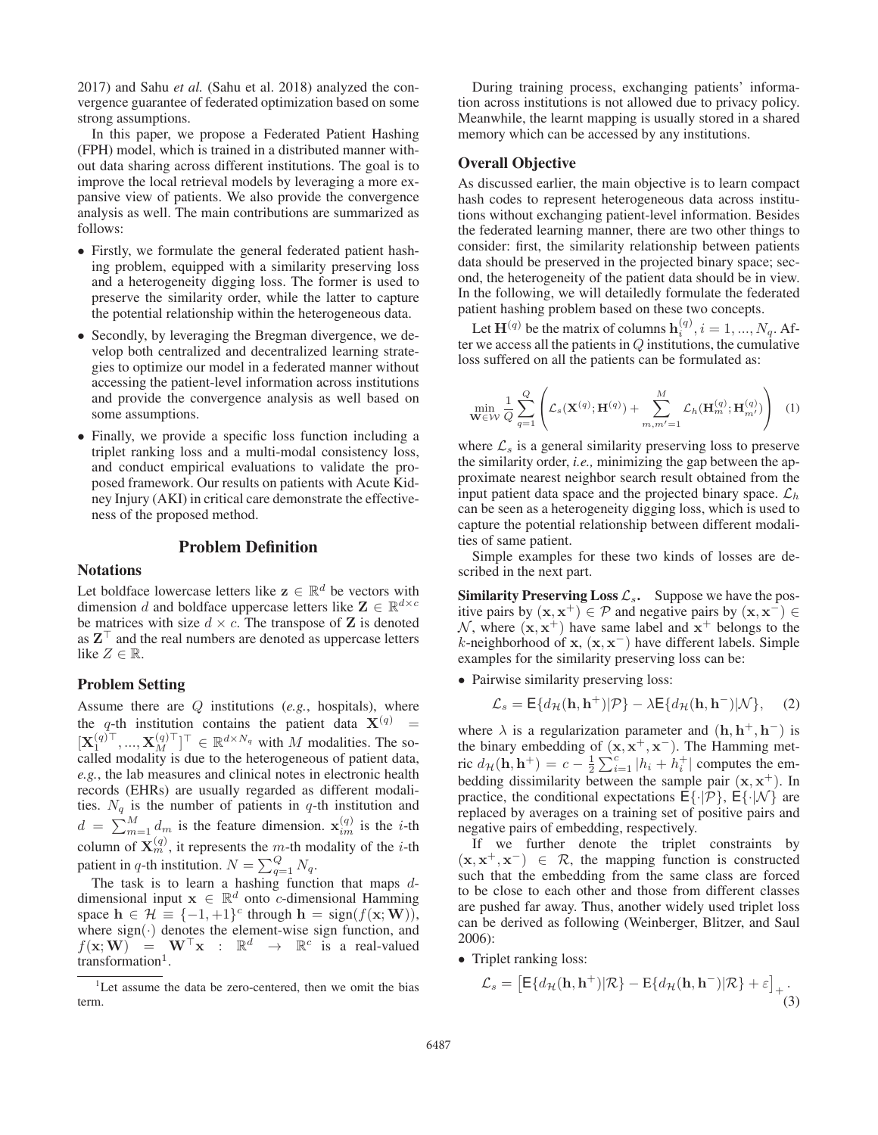2017) and Sahu *et al.* (Sahu et al. 2018) analyzed the convergence guarantee of federated optimization based on some strong assumptions.

In this paper, we propose a Federated Patient Hashing (FPH) model, which is trained in a distributed manner without data sharing across different institutions. The goal is to improve the local retrieval models by leveraging a more expansive view of patients. We also provide the convergence analysis as well. The main contributions are summarized as follows:

- Firstly, we formulate the general federated patient hashing problem, equipped with a similarity preserving loss and a heterogeneity digging loss. The former is used to preserve the similarity order, while the latter to capture the potential relationship within the heterogeneous data.
- Secondly, by leveraging the Bregman divergence, we develop both centralized and decentralized learning strategies to optimize our model in a federated manner without accessing the patient-level information across institutions and provide the convergence analysis as well based on some assumptions.
- Finally, we provide a specific loss function including a triplet ranking loss and a multi-modal consistency loss, and conduct empirical evaluations to validate the proposed framework. Our results on patients with Acute Kidney Injury (AKI) in critical care demonstrate the effectiveness of the proposed method.

### Problem Definition

### **Notations**

Let boldface lowercase letters like  $z \in \mathbb{R}^d$  be vectors with dimension d and boldface uppercase letters like  $\mathbf{Z} \in \mathbb{R}^{d \times c}$ be matrices with size  $d \times c$ . The transpose of **Z** is denoted as  $\mathbf{Z}^{\top}$  and the real numbers are denoted as uppercase letters like  $Z \in \mathbb{R}$ like  $Z \in \mathbb{R}$ .

#### Problem Setting

Assume there are Q institutions (*e.g.*, hospitals), where the q-th institution contains the patient data  $X^{(q)}$  =  $[\mathbf{X}_1^{(q)\top}, ..., \mathbf{X}_M^{(q)\top}]^\top \in \mathbb{R}^{d \times N_q}$  with M modalities. The so-<br>called modality is due to the heterogeneous of patient data  $[\mathbf{X}_1^{\text{max}}, ..., \mathbf{X}_M^{\text{max}}] \in \mathbb{R}^{\text{max}}$  with *M* modalities. The so-<br>called modality is due to the heterogeneous of patient data, *e.g.*, the lab measures and clinical notes in electronic health records (EHRs) are usually regarded as different modalities.  $N_q$  is the number of patients in q-th institution and  $d = \sum_{m=1}^{M} d_m$  is the feature dimension.  $\mathbf{x}_{im}^{(q)}$  is the *i*-th column of  $\mathbf{X}_m^{(q)}$ , it represents the m-th modality of the *i*-th patient in q-th institution.  $N = \sum_{q=1}^{Q} N_q$ .<br>The task is to learn a bashing function

The task is to learn a hashing function that maps  $d$ dimensional input  $\mathbf{x} \in \mathbb{R}^d$  onto *c*-dimensional Hamming space  $\mathbf{h} \in \mathcal{H} \equiv \{-1, +1\}^c$  through  $\mathbf{h} = \text{sign}(f(\mathbf{x}; \mathbf{W}))$ , where  $sign(\cdot)$  denotes the element-wise sign function, and  $f(\mathbf{x}; \mathbf{W}) = \mathbf{W}^{\top} \mathbf{x} : \mathbb{R}^d \to \mathbb{R}^c$  is a real-valued<br>transformation<sup>1</sup>  $transformation<sup>1</sup>$ .

During training process, exchanging patients' information across institutions is not allowed due to privacy policy. Meanwhile, the learnt mapping is usually stored in a shared memory which can be accessed by any institutions.

### Overall Objective

As discussed earlier, the main objective is to learn compact hash codes to represent heterogeneous data across institutions without exchanging patient-level information. Besides the federated learning manner, there are two other things to consider: first, the similarity relationship between patients data should be preserved in the projected binary space; second, the heterogeneity of the patient data should be in view. In the following, we will detailedly formulate the federated patient hashing problem based on these two concepts.

Let  $\mathbf{H}^{(q)}$  be the matrix of columns  $\mathbf{h}_i^{(q)}$ ,  $i = 1, ..., N_q$ . Af-<br>we access all the patients in O institutions the cumulative ter we access all the patients in  $Q$  institutions, the cumulative loss suffered on all the patients can be formulated as:

$$
\min_{\mathbf{W}\in\mathcal{W}}\frac{1}{Q}\sum_{q=1}^{Q}\left(\mathcal{L}_s(\mathbf{X}^{(q)};\mathbf{H}^{(q)})+\sum_{m,m'=1}^{M}\mathcal{L}_h(\mathbf{H}_m^{(q)};\mathbf{H}_{m'}^{(q)})\right) (1)
$$

where  $\mathcal{L}_s$  is a general similarity preserving loss to preserve the similarity order, *i.e.,* minimizing the gap between the approximate nearest neighbor search result obtained from the input patient data space and the projected binary space.  $\mathcal{L}_h$ can be seen as a heterogeneity digging loss, which is used to capture the potential relationship between different modalities of same patient.

Simple examples for these two kinds of losses are described in the next part.

**Similarity Preserving Loss**  $\mathcal{L}_s$ **.** Suppose we have the positive pairs by  $(\mathbf{x}, \mathbf{x}^+)$  ∈ P and negative pairs by  $(\mathbf{x}, \mathbf{x}^-)$  ∈ N, where  $(x, x^+)$  have same label and  $x^+$  belongs to the <sup>k</sup>-neighborhood of **<sup>x</sup>**, (**x**, **<sup>x</sup>**<sup>−</sup>) have different labels. Simple examples for the similarity preserving loss can be:

• Pairwise similarity preserving loss:

$$
\mathcal{L}_s = \mathsf{E}\{d_{\mathcal{H}}(\mathbf{h}, \mathbf{h}^+)|\mathcal{P}\} - \lambda \mathsf{E}\{d_{\mathcal{H}}(\mathbf{h}, \mathbf{h}^-)|\mathcal{N}\},\quad(2)
$$

where  $\lambda$  is a regularization parameter and  $(\mathbf{h}, \mathbf{h}^+, \mathbf{h}^-)$  is the binary embedding of  $(x, x^+, x^-)$ . The Hamming metric  $d_{\mathcal{H}}(\mathbf{h}, \mathbf{h}^+) = c - \frac{1}{2} \sum_{i=1}^{c} |h_i + h_i^+|$  computes the embedding dissimilarity between the sample pair  $(\mathbf{x}, \mathbf{x}^+)$ . In practice, the conditional expectations  $F\{.\mathcal{P}\}\ F\{.\mathcal{N}\}$  are practice, the conditional expectations  $E\{\cdot|\mathcal{P}\}, E\{\cdot|\mathcal{N}\}\$ are replaced by averages on a training set of positive pairs and negative pairs of embedding, respectively.

If we further denote the triplet constraints by  $(x, x^+, x^-) \in \mathcal{R}$ , the mapping function is constructed such that the embedding from the same class are forced to be close to each other and those from different classes are pushed far away. Thus, another widely used triplet loss can be derived as following (Weinberger, Blitzer, and Saul 2006):

• Triplet ranking loss:

$$
\mathcal{L}_s = \left[ \mathsf{E} \{ d_{\mathcal{H}}(\mathbf{h}, \mathbf{h}^+) | \mathcal{R} \} - \mathsf{E} \{ d_{\mathcal{H}}(\mathbf{h}, \mathbf{h}^-) | \mathcal{R} \} + \varepsilon \right]_+ .
$$
\n(3)

<sup>&</sup>lt;sup>1</sup>Let assume the data be zero-centered, then we omit the bias term.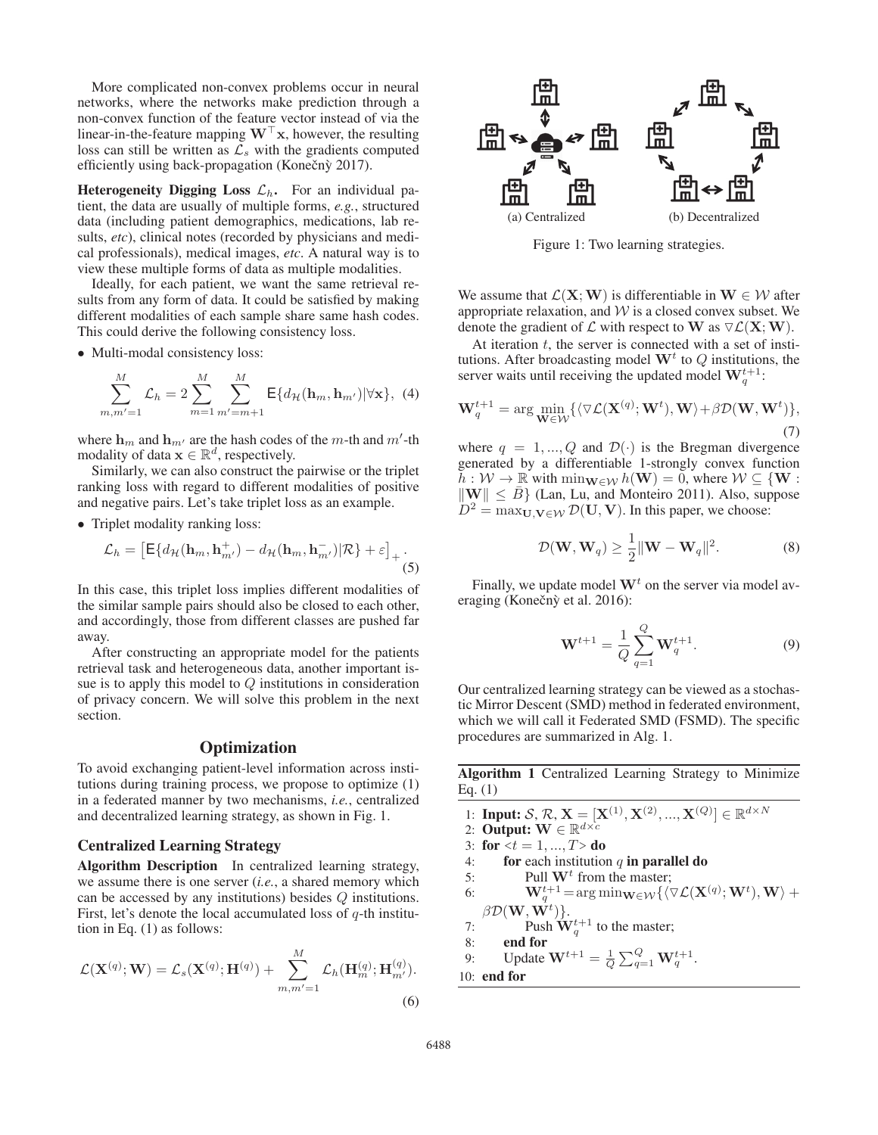More complicated non-convex problems occur in neural networks, where the networks make prediction through a non-convex function of the feature vector instead of via the linear-in-the-feature mapping  $W^{\dagger}$  x, however, the resulting loss can still be written as  $\ell_{\alpha}$  with the gradients computed loss can still be written as  $\overline{\mathcal{L}}_s$  with the gradients computed efficiently using back-propagation (Konečný 2017).

**Heterogeneity Digging Loss**  $\mathcal{L}_h$ **.** For an individual patient, the data are usually of multiple forms, *e.g.*, structured data (including patient demographics, medications, lab results, *etc*), clinical notes (recorded by physicians and medical professionals), medical images, *etc*. A natural way is to view these multiple forms of data as multiple modalities.

Ideally, for each patient, we want the same retrieval results from any form of data. It could be satisfied by making different modalities of each sample share same hash codes. This could derive the following consistency loss.

• Multi-modal consistency loss:

$$
\sum_{m,m'=1}^{M} \mathcal{L}_h = 2 \sum_{m=1}^{M} \sum_{m'=m+1}^{M} \mathsf{E} \{ d_{\mathcal{H}}(\mathbf{h}_m, \mathbf{h}_{m'}) |\forall \mathbf{x} \}, \tag{4}
$$

where  $\mathbf{h}_m$  and  $\mathbf{h}_{m'}$  are the hash codes of the m-th and m'-th modality of data  $\mathbf{x} \in \mathbb{R}^d$  respectively modality of data  $\mathbf{x} \in \mathbb{R}^d$ , respectively.

Similarly, we can also construct the pairwise or the triplet ranking loss with regard to different modalities of positive and negative pairs. Let's take triplet loss as an example.

• Triplet modality ranking loss:

$$
\mathcal{L}_h = \left[ \mathsf{E} \{ d_{\mathcal{H}}(\mathbf{h}_m, \mathbf{h}_{m'}^+) - d_{\mathcal{H}}(\mathbf{h}_m, \mathbf{h}_{m'}^-) | \mathcal{R} \} + \varepsilon \right]_+ .
$$
\n(5)

In this case, this triplet loss implies different modalities of the similar sample pairs should also be closed to each other, and accordingly, those from different classes are pushed far away.

After constructing an appropriate model for the patients retrieval task and heterogeneous data, another important issue is to apply this model to  $Q$  institutions in consideration of privacy concern. We will solve this problem in the next section.

### **Optimization**

To avoid exchanging patient-level information across institutions during training process, we propose to optimize (1) in a federated manner by two mechanisms, *i.e.*, centralized and decentralized learning strategy, as shown in Fig. 1.

#### Centralized Learning Strategy

Algorithm Description In centralized learning strategy, we assume there is one server (*i.e.*, a shared memory which can be accessed by any institutions) besides Q institutions. First, let's denote the local accumulated loss of  $q$ -th institution in Eq. (1) as follows:

$$
\mathcal{L}(\mathbf{X}^{(q)}; \mathbf{W}) = \mathcal{L}_s(\mathbf{X}^{(q)}; \mathbf{H}^{(q)}) + \sum_{m,m'=1}^{M} \mathcal{L}_h(\mathbf{H}_m^{(q)}; \mathbf{H}_{m'}^{(q)}).
$$
\n(6)



Figure 1: Two learning strategies.

We assume that  $\mathcal{L}(\mathbf{X}; \mathbf{W})$  is differentiable in  $\mathbf{W} \in \mathcal{W}$  after appropriate relaxation, and  $W$  is a closed convex subset. We denote the gradient of  $\mathcal{L}$  with respect to **W** as  $\nabla \mathcal{L}(\mathbf{X}; \mathbf{W})$ .<br>At iteration t the server is connected with a set of institution

At iteration  $t$ , the server is connected with a set of institutions. After broadcasting model  $W<sup>t</sup>$  to  $Q$  institutions, the server waits until receiving the updated model  $\mathbf{W}_q^{t+1}$ :

$$
\mathbf{W}_q^{t+1} = \arg\min_{\mathbf{W} \in \mathcal{W}} \{ \langle \nabla \mathcal{L}(\mathbf{X}^{(q)}; \mathbf{W}^t), \mathbf{W} \rangle + \beta \mathcal{D}(\mathbf{W}, \mathbf{W}^t) \},\tag{7}
$$

where  $q = 1, ..., Q$  and  $\mathcal{D}(\cdot)$  is the Bregman divergence generated by a differentiable 1-strongly convex function  $h: \mathcal{W} \to \mathbb{R}$  with  $\min_{\mathbf{W} \in \mathcal{W}} h(\mathbf{W})=0$ , where  $\mathcal{W} \subseteq {\mathbf{W}}$ :  $\|\mathbf{W}\| \leq \bar{B}$  (Lan, Lu, and Monteiro 2011). Also, suppose  $D^2 = \max_{\mathbf{U}, \mathbf{V} \in \mathcal{W}} \mathcal{D}(\mathbf{U}, \mathbf{V})$ . In this paper, we choose:

$$
\mathcal{D}(\mathbf{W}, \mathbf{W}_q) \ge \frac{1}{2} \|\mathbf{W} - \mathbf{W}_q\|^2.
$$
 (8)

Finally, we update model  $W<sup>t</sup>$  on the server via model averaging (Konečn $\hat{y}$  et al. 2016):

$$
\mathbf{W}^{t+1} = \frac{1}{Q} \sum_{q=1}^{Q} \mathbf{W}_q^{t+1}.
$$
 (9)

Our centralized learning strategy can be viewed as a stochastic Mirror Descent (SMD) method in federated environment, which we will call it Federated SMD (FSMD). The specific procedures are summarized in Alg. 1.

Algorithm 1 Centralized Learning Strategy to Minimize Eq. (1)

- 1: **Input:**  $S, \mathcal{R}, \mathbf{X} = [\mathbf{X}^{(1)}, \mathbf{X}^{(2)}, ..., \mathbf{X}^{(Q)}] \in \mathbb{R}^{d \times N}$ <br>2. **Output:**  $\mathbf{W} \in \mathbb{R}^{d \times c}$
- 2: **Output:**  $W \in \mathbb{R}^{d \times c}$ <br>3: for  $\lt t = 1, ..., T > d$
- 3: for  $\overline{z}t = 1, ..., T >$  do<br>4: for each institution
- for each institution  $q$  in parallel do
- 5: Pull  $\mathbf{W}^t$  from the master;<br>6:  $\mathbf{W}^{t+1}_{a} = \arg \min_{\mathbf{W} \in \mathcal{W}} \{ \langle \nabla \rangle$
- 6:  $\mathbf{W}_q^{t+1}$  $\mathcal{U}_q^{t+1} = \arg \min_{\mathbf{W} \in \mathcal{W}} \{ \langle \nabla \mathcal{L}(\mathbf{X}^{(q)}; \mathbf{W}^t), \mathbf{W} \rangle + \mathcal{U}_q^{(t)} \}$  $\beta \mathcal{D}(\mathbf{W},\vec{\mathbf{W}^{t}})$ Push
- )}. 7: Push  $\mathbf{W}_q^{t+1}$  to the master;<br>8: **end for**
- 8: end for
- 9: **Update**  $W^{t+1} = \frac{1}{Q} \sum_{q=1}^{Q} W_q^{t+1}$ **.**

10: end for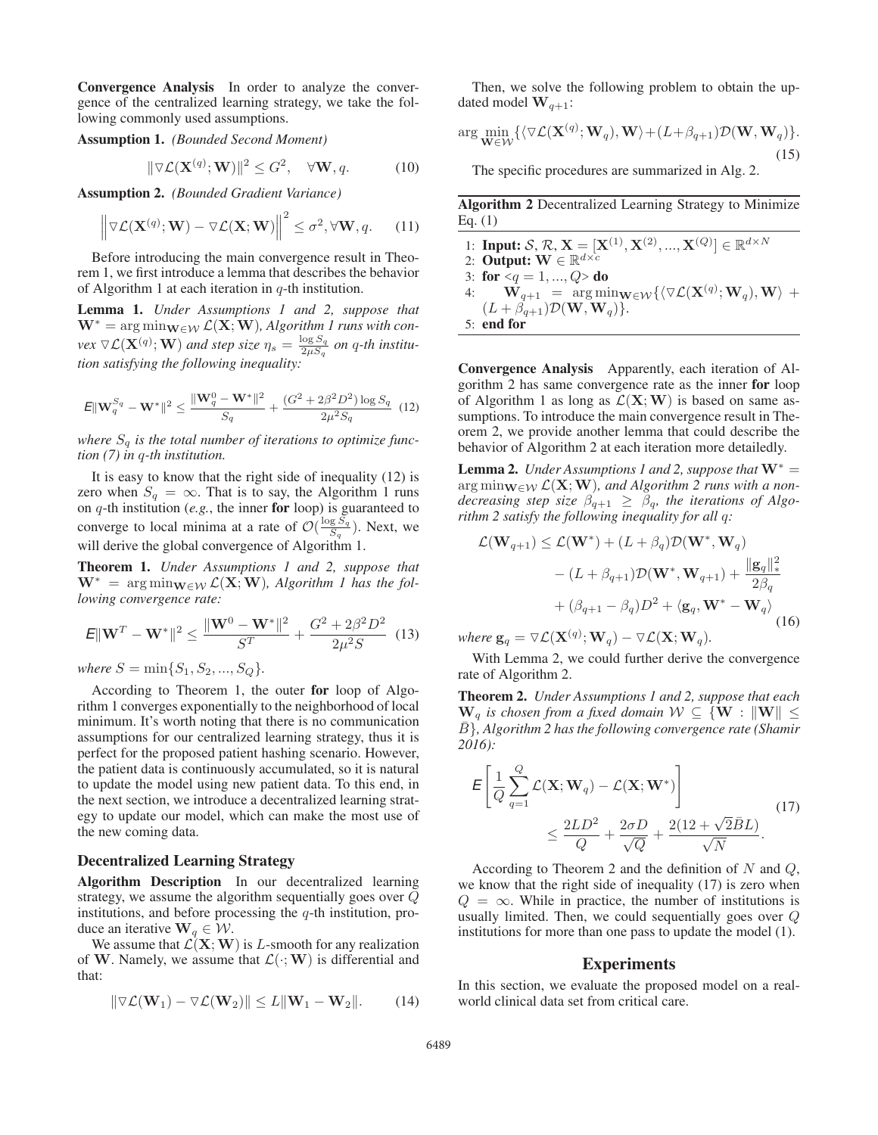Convergence Analysis In order to analyze the convergence of the centralized learning strategy, we take the following commonly used assumptions.

Assumption 1. *(Bounded Second Moment)*

$$
\|\nabla \mathcal{L}(\mathbf{X}^{(q)}; \mathbf{W})\|^2 \le G^2, \quad \forall \mathbf{W}, q.
$$
 (10)

Assumption 2. *(Bounded Gradient Variance)*

$$
\left\| \nabla \mathcal{L}(\mathbf{X}^{(q)}; \mathbf{W}) - \nabla \mathcal{L}(\mathbf{X}; \mathbf{W}) \right\|^2 \le \sigma^2, \forall \mathbf{W}, q. \tag{11}
$$

Before introducing the main convergence result in Theorem 1, we first introduce a lemma that describes the behavior of Algorithm 1 at each iteration in  $q$ -th institution.

Lemma 1. *Under Assumptions 1 and 2, suppose that*  $W^* = \arg \min_{W \in \mathcal{W}} \mathcal{L}(X; W)$ , Algorithm 1 runs with con- $\forall$ ex  $\nabla$ **L**( $\mathbf{X}^{(q)}$ ; **W**) *and step size*  $\eta_s = \frac{\log S_q}{2\mu S_q}$  *on* q-th institu*tion satisfying the following inequality:*

$$
\mathbf{E} \|\mathbf{W}_q^{S_q} - \mathbf{W}^*\|^2 \le \frac{\|\mathbf{W}_q^0 - \mathbf{W}^*\|^2}{S_q} + \frac{(G^2 + 2\beta^2 D^2) \log S_q}{2\mu^2 S_q} \tag{12}
$$

where  $S_q$  is the total number of iterations to optimize func*tion (7) in* q*-th institution.*

It is easy to know that the right side of inequality (12) is zero when  $S_q = \infty$ . That is to say, the Algorithm 1 runs on  $q$ -th institution (*e.g.*, the inner for loop) is guaranteed to converge to local minima at a rate of  $\mathcal{O}(\frac{\log S_q}{S_q})$ . Next, we will derive the global convergence of Algorithm 1.

Theorem 1. *Under Assumptions 1 and 2, suppose that*  $W^* = \arg \min_{\mathbf{W} \in \mathcal{W}} \mathcal{L}(\mathbf{X}; \mathbf{W})$ , Algorithm 1 has the fol*lowing convergence rate:*

$$
E\|\mathbf{W}^T - \mathbf{W}^*\|^2 \le \frac{\|\mathbf{W}^0 - \mathbf{W}^*\|^2}{S^T} + \frac{G^2 + 2\beta^2 D^2}{2\mu^2 S} \tag{13}
$$

*where*  $S = \min\{S_1, S_2, ..., S_Q\}$ .

According to Theorem 1, the outer for loop of Algorithm 1 converges exponentially to the neighborhood of local minimum. It's worth noting that there is no communication assumptions for our centralized learning strategy, thus it is perfect for the proposed patient hashing scenario. However, the patient data is continuously accumulated, so it is natural to update the model using new patient data. To this end, in the next section, we introduce a decentralized learning strategy to update our model, which can make the most use of the new coming data.

#### Decentralized Learning Strategy

Algorithm Description In our decentralized learning strategy, we assume the algorithm sequentially goes over Q institutions, and before processing the  $q$ -th institution, produce an iterative  $\mathbf{W}_q \in \mathcal{W}$ .

We assume that  $\mathcal{L}(\mathbf{X}; \mathbf{W})$  is L-smooth for any realization of **W**. Namely, we assume that  $\mathcal{L}(\cdot; \mathbf{W})$  is differential and that:

$$
\|\nabla \mathcal{L}(\mathbf{W}_1) - \nabla \mathcal{L}(\mathbf{W}_2)\| \le L \|\mathbf{W}_1 - \mathbf{W}_2\|. \tag{14}
$$

Then, we solve the following problem to obtain the updated model  $\mathbf{W}_{q+1}$ :

$$
\arg\min_{\mathbf{W}\in\mathcal{W}} \{ \langle \nabla \mathcal{L}(\mathbf{X}^{(q)}; \mathbf{W}_q), \mathbf{W} \rangle + (L + \beta_{q+1}) \mathcal{D}(\mathbf{W}, \mathbf{W}_q) \}.
$$
\n(15)

The specific procedures are summarized in Alg. 2.

Algorithm 2 Decentralized Learning Strategy to Minimize Eq. (1)

1: **Input:**  $S, \mathcal{R}, \mathbf{X} = [\mathbf{X}^{(1)}, \mathbf{X}^{(2)}, ..., \mathbf{X}^{(Q)}] \in \mathbb{R}^{d \times N}$ <br>2. **Output:**  $\mathbf{W} \in \mathbb{R}^{d \times c}$ 2: **Output:**  $\mathbf{W} \in \mathbb{R}^{d \times c}$ 3: for  $\langle q = 1, ..., Q \rangle$  do<br>4.  $\mathbf{W}_{n+1} = \arg \min_{\mathbf{W}}$  $\mathbf{W}_{q+1} = \arg \min_{\mathbf{W} \in \mathcal{W}} \{ \langle \nabla \mathcal{L}(\mathbf{X}^{(q)}; \mathbf{W}_q), \mathbf{W} \rangle + (L + \beta_{q+1}) \mathcal{D}(\mathbf{W}, \mathbf{W}_q) \}$  $(L + \beta_{q+1})\mathcal{D}(\mathbf{W}, \mathbf{W}_q)$ . 5: end for

Convergence Analysis Apparently, each iteration of Algorithm 2 has same convergence rate as the inner for loop of Algorithm 1 as long as  $\mathcal{L}(\mathbf{X}; \mathbf{W})$  is based on same assumptions. To introduce the main convergence result in Theorem 2, we provide another lemma that could describe the behavior of Algorithm 2 at each iteration more detailedly.

**Lemma 2.** *Under Assumptions 1 and 2, suppose that*  $W^* =$ arg  $\min_{\mathbf{W} \in \mathcal{W}} \mathcal{L}(\mathbf{X}; \mathbf{W})$ , and Algorithm 2 runs with a non*decreasing step size*  $\beta_{q+1} \geq \beta_q$ , the iterations of Algo*rithm 2 satisfy the following inequality for all* q*:*

$$
\mathcal{L}(\mathbf{W}_{q+1}) \leq \mathcal{L}(\mathbf{W}^*) + (L + \beta_q) \mathcal{D}(\mathbf{W}^*, \mathbf{W}_q)
$$

$$
- (L + \beta_{q+1}) \mathcal{D}(\mathbf{W}^*, \mathbf{W}_{q+1}) + \frac{\|\mathbf{g}_q\|_*^2}{2\beta_q}
$$

$$
+ (\beta_{q+1} - \beta_q) D^2 + \langle \mathbf{g}_q, \mathbf{W}^* - \mathbf{W}_q \rangle
$$
(16)

*where*  $\mathbf{g}_q = \nabla \mathcal{L}(\mathbf{X}^{(q)}; \mathbf{W}_q) - \nabla \mathcal{L}(\mathbf{X}; \mathbf{W}_q)$ .

With Lemma 2, we could further derive the convergence rate of Algorithm 2.

Theorem 2. *Under Assumptions 1 and 2, suppose that each*  $\mathbf{W}_q$  *is chosen from a fixed domain*  $\mathcal{W} \subseteq {\mathbf{W}} : \|\mathbf{W}\| \leq$ <sup>B</sup>¯}*, Algorithm 2 has the following convergence rate (Shamir 2016):*

$$
\mathcal{E}\left[\frac{1}{Q}\sum_{q=1}^{Q}\mathcal{L}(\mathbf{X}; \mathbf{W}_q) - \mathcal{L}(\mathbf{X}; \mathbf{W}^*)\right] \le \frac{2LD^2}{Q} + \frac{2\sigma D}{\sqrt{Q}} + \frac{2(12 + \sqrt{2}\bar{B}L)}{\sqrt{N}}.
$$
\n(17)

According to Theorem 2 and the definition of  $N$  and  $Q$ , we know that the right side of inequality (17) is zero when  $Q = \infty$ . While in practice, the number of institutions is usually limited. Then, we could sequentially goes over Q institutions for more than one pass to update the model (1).

### Experiments

In this section, we evaluate the proposed model on a realworld clinical data set from critical care.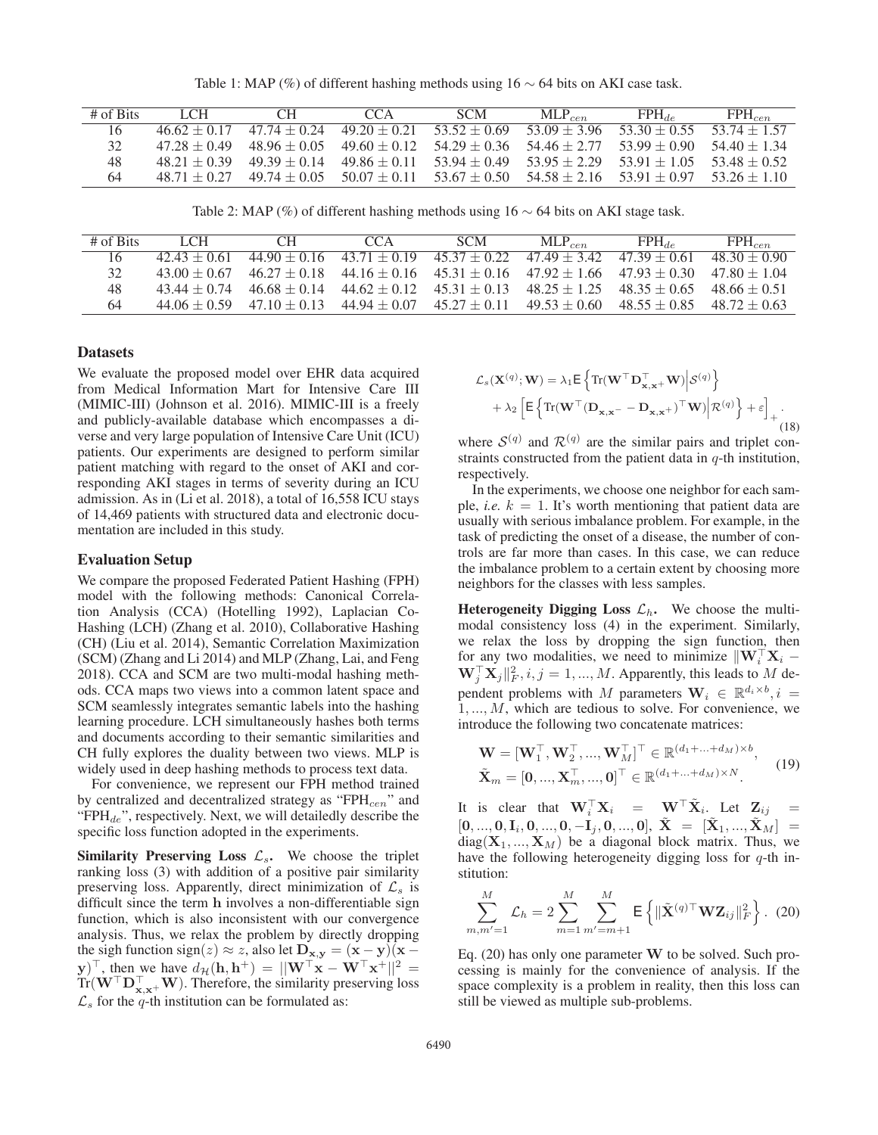Table 1: MAP (%) of different hashing methods using  $16 \sim 64$  bits on AKI case task.

| $#$ of Bits | 1 C H            | C`H            | CCA                                          | <b>SCM</b>                                                                                | $MLP_{cen}$    | $FPH_{de}$                    | $FPH_{cen}$ |
|-------------|------------------|----------------|----------------------------------------------|-------------------------------------------------------------------------------------------|----------------|-------------------------------|-------------|
| 16          | $4662 + 017$     |                | $47.74 + 0.24$ $49.20 + 0.21$ $53.52 + 0.69$ |                                                                                           | $53.09 + 3.96$ | $53.30 + 0.55$ $53.74 + 1.57$ |             |
| 32          | $47.28 + 0.49$   |                |                                              | $48.96 + 0.05$ $49.60 + 0.12$ $54.29 + 0.36$ $54.46 + 2.77$ $53.99 + 0.90$ $54.40 + 1.34$ |                |                               |             |
| 48          | $48.21 + 0.39$   | $49.39 + 0.14$ | $49.86 \pm 0.11$ 53.94 $\pm$ 0.49            |                                                                                           | $53.95 + 2.29$ | $53.91 + 1.05$ $53.48 + 0.52$ |             |
| 64          | $48\,71 + 0\,27$ |                |                                              | $49.74 + 0.05$ $50.07 + 0.11$ $53.67 + 0.50$ $54.58 + 2.16$ $53.91 + 0.97$ $53.26 + 1.10$ |                |                               |             |

Table 2: MAP (%) of different hashing methods using  $16 \sim 64$  bits on AKI stage task.

| $#$ of Bits | 1 CH             | CH.          | CCA                           | SCM.                                                                       | $MLP_{cen}$    | $FPH_{dc}$                                                                 | $\mathrm{FPH}_{cen}$ |
|-------------|------------------|--------------|-------------------------------|----------------------------------------------------------------------------|----------------|----------------------------------------------------------------------------|----------------------|
|             | $42.43 + 0.61$   |              |                               | $44.90 + 0.16$ $43.71 + 0.19$ $45.37 + 0.22$ $47.49 + 3.42$ $47.39 + 0.61$ |                |                                                                            | $4830 + 090$         |
|             | $43.00 + 0.67$   | $4627 + 018$ |                               |                                                                            |                | $44.16 + 0.16$ $45.31 + 0.16$ $47.92 + 1.66$ $47.93 + 0.30$ $47.80 + 1.04$ |                      |
| 48          | $43\,44 + 0\,74$ | $4668 + 014$ | $44.62 + 0.12$ $45.31 + 0.13$ |                                                                            |                | $48.25 + 1.25$ $48.35 + 0.65$ $48.66 + 0.51$                               |                      |
| 64          | $44.06 + 0.59$   | $4710 + 013$ | $44.94 + 0.07$ $45.27 + 0.11$ |                                                                            | $49.53 + 0.60$ | $48.55 + 0.85$ $48.72 + 0.63$                                              |                      |

# **Datasets**

We evaluate the proposed model over EHR data acquired from Medical Information Mart for Intensive Care III (MIMIC-III) (Johnson et al. 2016). MIMIC-III is a freely and publicly-available database which encompasses a diverse and very large population of Intensive Care Unit (ICU) patients. Our experiments are designed to perform similar patient matching with regard to the onset of AKI and corresponding AKI stages in terms of severity during an ICU admission. As in (Li et al. 2018), a total of 16,558 ICU stays of 14,469 patients with structured data and electronic documentation are included in this study.

#### Evaluation Setup

We compare the proposed Federated Patient Hashing (FPH) model with the following methods: Canonical Correlation Analysis (CCA) (Hotelling 1992), Laplacian Co-Hashing (LCH) (Zhang et al. 2010), Collaborative Hashing (CH) (Liu et al. 2014), Semantic Correlation Maximization (SCM) (Zhang and Li 2014) and MLP (Zhang, Lai, and Feng 2018). CCA and SCM are two multi-modal hashing methods. CCA maps two views into a common latent space and SCM seamlessly integrates semantic labels into the hashing learning procedure. LCH simultaneously hashes both terms and documents according to their semantic similarities and CH fully explores the duality between two views. MLP is widely used in deep hashing methods to process text data.

For convenience, we represent our FPH method trained by centralized and decentralized strategy as " $FPH_{cen}$ " and " $FPH_{de}$ ", respectively. Next, we will detailedly describe the specific loss function adopted in the experiments.

Similarity Preserving Loss  $\mathcal{L}_s$ . We choose the triplet ranking loss (3) with addition of a positive pair similarity preserving loss. Apparently, direct minimization of  $\mathcal{L}_s$  is difficult since the term **h** involves a non-differentiable sign function, which is also inconsistent with our convergence analysis. Thus, we relax the problem by directly dropping the sigh function sign(z)  $\approx$  z, also let  $\mathbf{D}_{\mathbf{x},\mathbf{y}} = (\mathbf{x} - \mathbf{y})(\mathbf{x} - \mathbf{y})$ **y**) '<br>Tr(**1** , then we have  $d_{\mathcal{H}}(\mathbf{h}, \mathbf{h}^+) = ||\mathbf{W}^\top \mathbf{x} - \mathbf{W}^\top \mathbf{x}^+||^2 = \mathbf{W}^\top \mathbf{V}^\top \mathbf{W}$  Therefore, the similarity preserving loss  $Tr(W^{\dagger}D^{\dagger}_{\mathbf{x},\mathbf{x}}+\mathbf{W})$ . Therefore, the similarity preserving loss  $\mathcal{C}$  for the *a* th institution can be formulated as:  $\mathcal{L}_s$  for the q-th institution can be formulated as:

$$
\mathcal{L}_s(\mathbf{X}^{(q)}; \mathbf{W}) = \lambda_1 \mathsf{E} \left\{ \mathrm{Tr}(\mathbf{W}^\top \mathbf{D}_{\mathbf{x}, \mathbf{x}^+}^\top \mathbf{W}) \middle| \mathcal{S}^{(q)} \right\} + \lambda_2 \left[ \mathsf{E} \left\{ \mathrm{Tr}(\mathbf{W}^\top (\mathbf{D}_{\mathbf{x}, \mathbf{x}^-} - \mathbf{D}_{\mathbf{x}, \mathbf{x}^+})^\top \mathbf{W}) \middle| \mathcal{R}^{(q)} \right\} + \varepsilon \right]_+.
$$
 (18)

where  $S^{(q)}$  and  $\mathcal{R}^{(q)}$  are the similar pairs and triplet constraints constructed from the patient data in  $q$ -th institution, respectively.

In the experiments, we choose one neighbor for each sample, *i.e.*  $k = 1$ . It's worth mentioning that patient data are usually with serious imbalance problem. For example, in the task of predicting the onset of a disease, the number of controls are far more than cases. In this case, we can reduce the imbalance problem to a certain extent by choosing more neighbors for the classes with less samples.

Heterogeneity Digging Loss  $\mathcal{L}_h$ . We choose the multimodal consistency loss (4) in the experiment. Similarly, we relax the loss by dropping the sign function, then for any two modalities, we need to minimize  $\|\mathbf{W}_i^{\top} \mathbf{X}_i - \mathbf{W}^{\top} \mathbf{X}_i\|^2$  is  $i = 1$  M. Apparently, this leads to M de- $\mathbf{W}_j^\top \mathbf{X}_j ||_F^2, i, j = 1, ..., M$ . Apparently, this leads to M dependent problems with M parameters  $\mathbf{W}_i \in \mathbb{R}^{d_i \times b}$ ,  $i =$  $1, \ldots, M$ , which are tedious to solve. For convenience, we introduce the following two concatenate matrices:

$$
\mathbf{W} = [\mathbf{W}_1^\top, \mathbf{W}_2^\top, ..., \mathbf{W}_M^\top]^\top \in \mathbb{R}^{(d_1 + ... + d_M) \times b}, \n\tilde{\mathbf{X}}_m = [\mathbf{0}, ..., \mathbf{X}_m^\top, ..., \mathbf{0}]^\top \in \mathbb{R}^{(d_1 + ... + d_M) \times N}.
$$
\n(19)

It is clear that  $\mathbf{W}_i^{\top} \mathbf{X}_i = \mathbf{W}^{\top} \mathbf{X}_i$ . Let  $\mathbf{Z}_{ij} =$  $[\mathbf{0},...,\mathbf{0},\mathbf{I}_i,\mathbf{0},...,\mathbf{0},-\mathbf{I}_j,\mathbf{0},...,\mathbf{0}], \hspace{0.1 cm} \tilde{\mathbf{X}} \hspace{0.1 cm} = \hspace{0.1 cm} [\tilde{\mathbf{X}}_1,...,\tilde{\mathbf{X}}_M] \hspace{0.1 cm} =$  $diag(X_1, ..., X_M)$  be a diagonal block matrix. Thus, we have the following heterogeneity digging loss for  $q$ -th institution:

$$
\sum_{m,m'=1}^{M} \mathcal{L}_h = 2 \sum_{m=1}^{M} \sum_{m'=m+1}^{M} \mathsf{E} \left\{ \| \tilde{\mathbf{X}}^{(q) \top} \mathbf{W} \mathbf{Z}_{ij} \|_F^2 \right\}. (20)
$$

Eq. (20) has only one parameter **W** to be solved. Such processing is mainly for the convenience of analysis. If the space complexity is a problem in reality, then this loss can still be viewed as multiple sub-problems.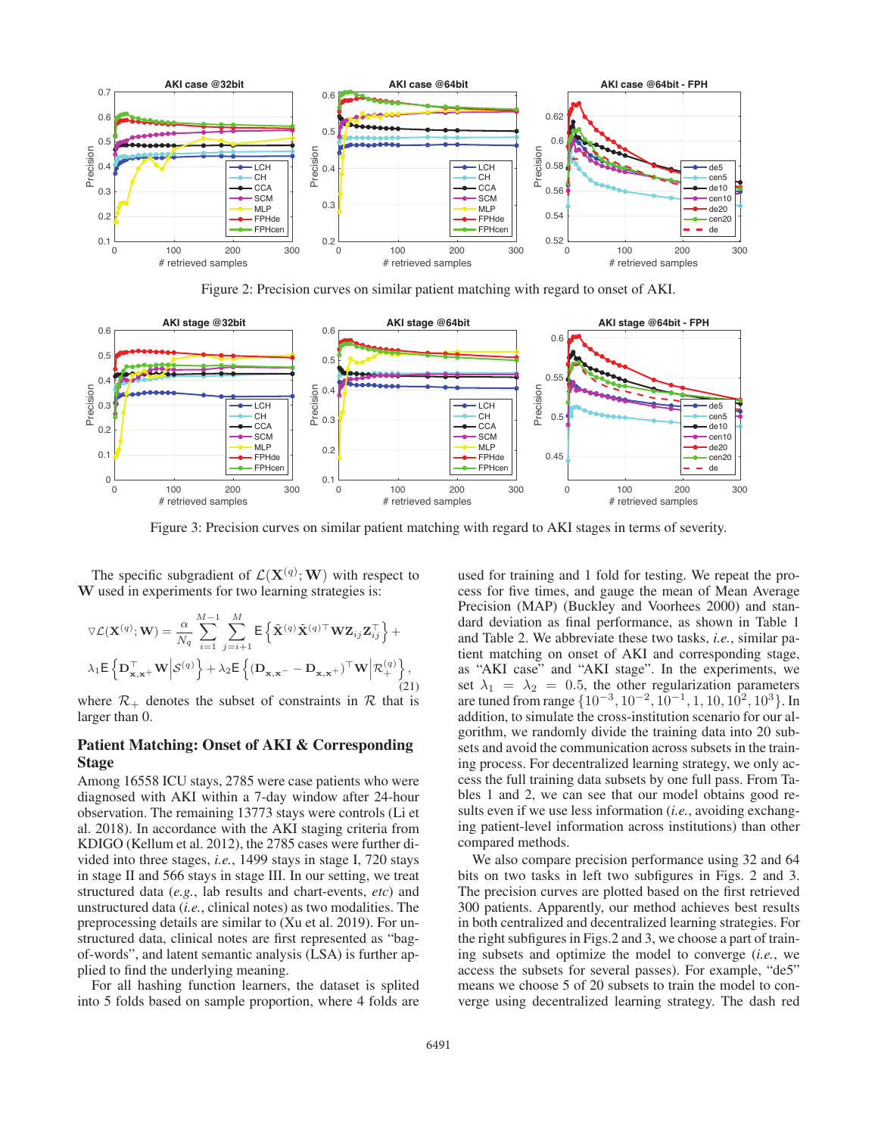

Figure 2: Precision curves on similar patient matching with regard to onset of AKI.



Figure 3: Precision curves on similar patient matching with regard to AKI stages in terms of severity.

The specific subgradient of  $\mathcal{L}(\mathbf{X}^{(q)}; \mathbf{W})$  with respect to *I* used in experiments for two learning strategies is: **W** used in experiments for two learning strategies is:

$$
\nabla \mathcal{L}(\mathbf{X}^{(q)}; \mathbf{W}) = \frac{\alpha}{N_q} \sum_{i=1}^{M-1} \sum_{j=i+1}^{M} \mathsf{E} \left\{ \tilde{\mathbf{X}}^{(q)} \tilde{\mathbf{X}}^{(q)\top} \mathbf{W} \mathbf{Z}_{ij} \mathbf{Z}_{ij}^{\top} \right\} + \lambda_1 \mathsf{E} \left\{ \mathbf{D}_{\mathbf{x}, \mathbf{x}^+}^{\top} \mathbf{W} \middle| \mathcal{S}^{(q)} \right\} + \lambda_2 \mathsf{E} \left\{ (\mathbf{D}_{\mathbf{x}, \mathbf{x}^-} - \mathbf{D}_{\mathbf{x}, \mathbf{x}^+})^{\top} \mathbf{W} \middle| \mathcal{R}_{+}^{(q)} \right\},\tag{21}
$$

where  $\mathcal{R}_+$  denotes the subset of constraints in  $\mathcal R$  that is larger than 0.

## Patient Matching: Onset of AKI & Corresponding Stage

Among 16558 ICU stays, 2785 were case patients who were diagnosed with AKI within a 7-day window after 24-hour observation. The remaining 13773 stays were controls (Li et al. 2018). In accordance with the AKI staging criteria from KDIGO (Kellum et al. 2012), the 2785 cases were further divided into three stages, *i.e.*, 1499 stays in stage I, 720 stays in stage II and 566 stays in stage III. In our setting, we treat structured data (*e.g.*, lab results and chart-events, *etc*) and unstructured data (*i.e.*, clinical notes) as two modalities. The preprocessing details are similar to (Xu et al. 2019). For unstructured data, clinical notes are first represented as "bagof-words", and latent semantic analysis (LSA) is further applied to find the underlying meaning.

For all hashing function learners, the dataset is splited into 5 folds based on sample proportion, where 4 folds are

used for training and 1 fold for testing. We repeat the process for five times, and gauge the mean of Mean Average Precision (MAP) (Buckley and Voorhees 2000) and standard deviation as final performance, as shown in Table 1 and Table 2. We abbreviate these two tasks, *i.e.*, similar patient matching on onset of AKI and corresponding stage, as "AKI case" and "AKI stage". In the experiments, we set  $\lambda_1 = \lambda_2 = 0.5$ , the other regularization parameters are tuned from range  $\{10^{-3}, 10^{-2}, 10^{-1}, 1, 10, 10^{2}, 10^{3}\}$ . In addition, to simulate the cross-institution scenario for our algorithm, we randomly divide the training data into 20 subsets and avoid the communication across subsets in the training process. For decentralized learning strategy, we only access the full training data subsets by one full pass. From Tables 1 and 2, we can see that our model obtains good results even if we use less information (*i.e.*, avoiding exchanging patient-level information across institutions) than other compared methods.

We also compare precision performance using 32 and 64 bits on two tasks in left two subfigures in Figs. 2 and 3. The precision curves are plotted based on the first retrieved 300 patients. Apparently, our method achieves best results in both centralized and decentralized learning strategies. For the right subfigures in Figs.2 and 3, we choose a part of training subsets and optimize the model to converge (*i.e.*, we access the subsets for several passes). For example, "de5" means we choose 5 of 20 subsets to train the model to converge using decentralized learning strategy. The dash red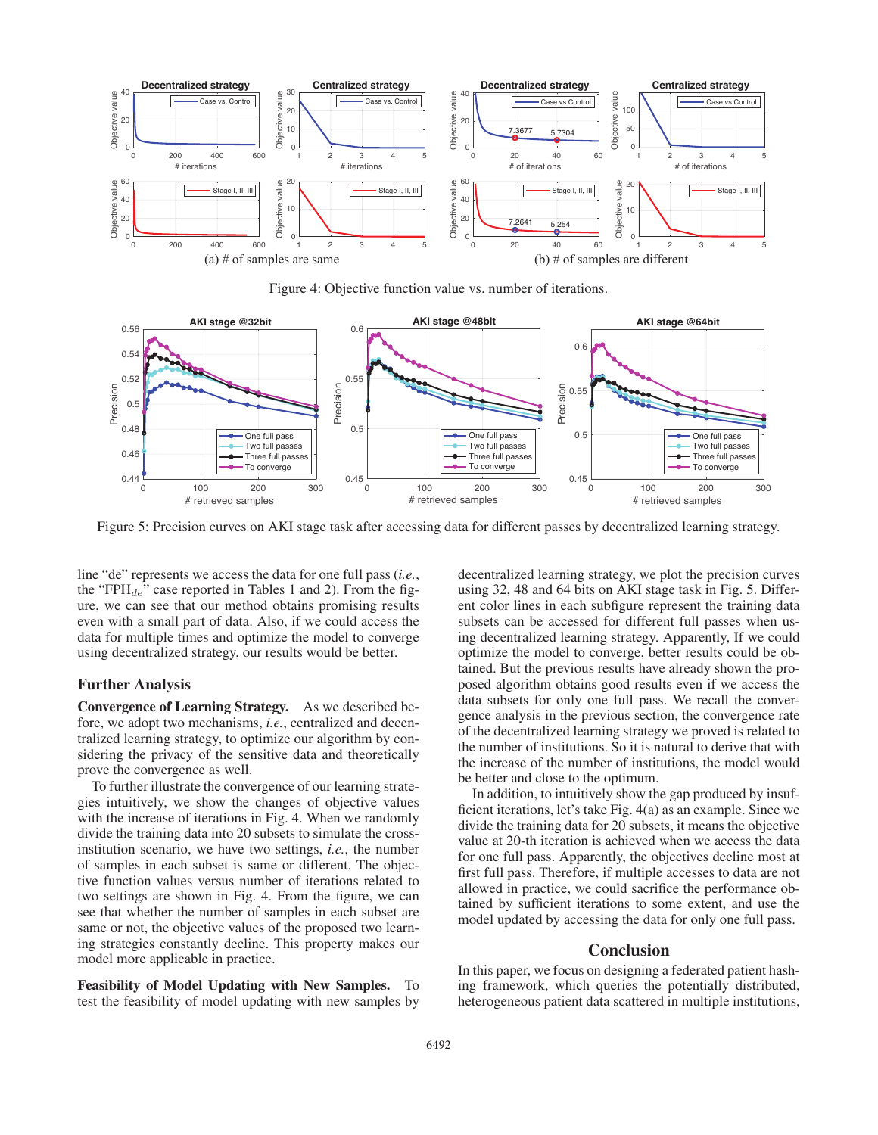

Figure 4: Objective function value vs. number of iterations.



Figure 5: Precision curves on AKI stage task after accessing data for different passes by decentralized learning strategy.

line "de" represents we access the data for one full pass (*i.e.*, the "FPH $_{de}$ " case reported in Tables 1 and 2). From the figure, we can see that our method obtains promising results even with a small part of data. Also, if we could access the data for multiple times and optimize the model to converge using decentralized strategy, our results would be better.

### Further Analysis

Convergence of Learning Strategy. As we described before, we adopt two mechanisms, *i.e.*, centralized and decentralized learning strategy, to optimize our algorithm by considering the privacy of the sensitive data and theoretically prove the convergence as well.

To further illustrate the convergence of our learning strategies intuitively, we show the changes of objective values with the increase of iterations in Fig. 4. When we randomly divide the training data into 20 subsets to simulate the crossinstitution scenario, we have two settings, *i.e.*, the number of samples in each subset is same or different. The objective function values versus number of iterations related to two settings are shown in Fig. 4. From the figure, we can see that whether the number of samples in each subset are same or not, the objective values of the proposed two learning strategies constantly decline. This property makes our model more applicable in practice.

Feasibility of Model Updating with New Samples. To test the feasibility of model updating with new samples by

decentralized learning strategy, we plot the precision curves using 32, 48 and 64 bits on AKI stage task in Fig. 5. Different color lines in each subfigure represent the training data subsets can be accessed for different full passes when using decentralized learning strategy. Apparently, If we could optimize the model to converge, better results could be obtained. But the previous results have already shown the proposed algorithm obtains good results even if we access the data subsets for only one full pass. We recall the convergence analysis in the previous section, the convergence rate of the decentralized learning strategy we proved is related to the number of institutions. So it is natural to derive that with the increase of the number of institutions, the model would be better and close to the optimum.

In addition, to intuitively show the gap produced by insufficient iterations, let's take Fig. 4(a) as an example. Since we divide the training data for 20 subsets, it means the objective value at 20-th iteration is achieved when we access the data for one full pass. Apparently, the objectives decline most at first full pass. Therefore, if multiple accesses to data are not allowed in practice, we could sacrifice the performance obtained by sufficient iterations to some extent, and use the model updated by accessing the data for only one full pass.

### Conclusion

In this paper, we focus on designing a federated patient hashing framework, which queries the potentially distributed, heterogeneous patient data scattered in multiple institutions,